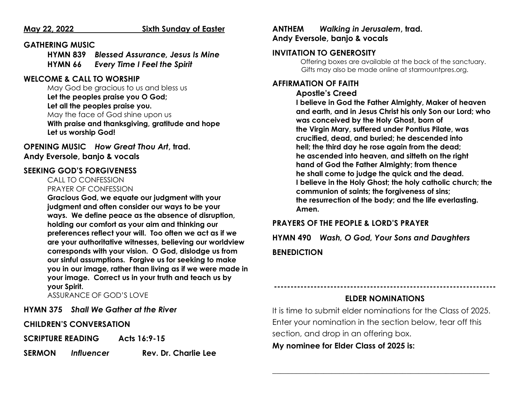#### **May 22, 2022 Sixth Sunday of Easter**

#### **GATHERING MUSIC**

**HYMN 839** *Blessed Assurance, Jesus Is Mine* **HYMN 66** *Every Time I Feel the Spirit*

#### **WELCOME & CALL TO WORSHIP**

May God be gracious to us and bless us **Let the peoples praise you O God; Let all the peoples praise you.** May the face of God shine upon us **With praise and thanksgiving, gratitude and hope Let us worship God!**

**OPENING MUSIC** *How Great Thou Art***, trad. Andy Eversole, banjo & vocals**

#### **SEEKING GOD'S FORGIVENESS**

     CALL TO CONFESSION        PRAYER OF CONFESSION

**Gracious God, we equate our judgment with your judgment and often consider our ways to be your ways. We define peace as the absence of disruption, holding our comfort as your aim and thinking our preferences reflect your will. Too often we act as if we are your authoritative witnesses, believing our worldview corresponds with your vision. O God, dislodge us from our sinful assumptions. Forgive us for seeking to make you in our image, rather than living as if we were made in your image. Correct us in your truth and teach us by your Spirit.**

ASSURANCE OF GOD'S LOVE

**HYMN 375** *Shall We Gather at the River*

**CHILDREN'S CONVERSATION**

**SCRIPTURE READING Acts 16:9-15** 

**SERMON** *Influencer* **Rev. Dr. Charlie Lee**

#### **ANTHEM** *Walking in Jerusalem***, trad. Andy Eversole, banjo & vocals**

#### **INVITATION TO GENEROSITY**

Offering boxes are available at the back of the sanctuary.      Gifts may also be made online at starmountpres.org.

#### **AFFIRMATION OF FAITH**

#### **Apostle's Creed**

**I believe in God the Father Almighty, Maker of heaven and earth, and in Jesus Christ his only Son our Lord; who was conceived by the Holy Ghost, born of the Virgin Mary, suffered under Pontius Pilate, was crucified, dead, and buried; he descended into hell; the third day he rose again from the dead; he ascended into heaven, and sitteth on the right hand of God the Father Almighty; from thence he shall come to judge the quick and the dead. I believe in the Holy Ghost; the holy catholic church; the communion of saints; the forgiveness of sins; the resurrection of the body; and the life everlasting. Amen.**

#### **PRAYERS OF THE PEOPLE & LORD'S PRAYER**

**HYMN 490** *Wash, O God, Your Sons and Daughters* **BENEDICTION**

### **------------------------------------------------------------------- ELDER NOMINATIONS**

It is time to submit elder nominations for the Class of 2025. Enter your nomination in the section below, tear off this section, and drop in an offering box.

**\_\_\_\_\_\_\_\_\_\_\_\_\_\_\_\_\_\_\_\_\_\_\_\_\_\_\_\_\_\_\_\_\_\_\_\_\_\_\_\_\_\_\_\_\_\_\_\_\_\_\_\_\_\_\_**

**My nominee for Elder Class of 2025 is:**